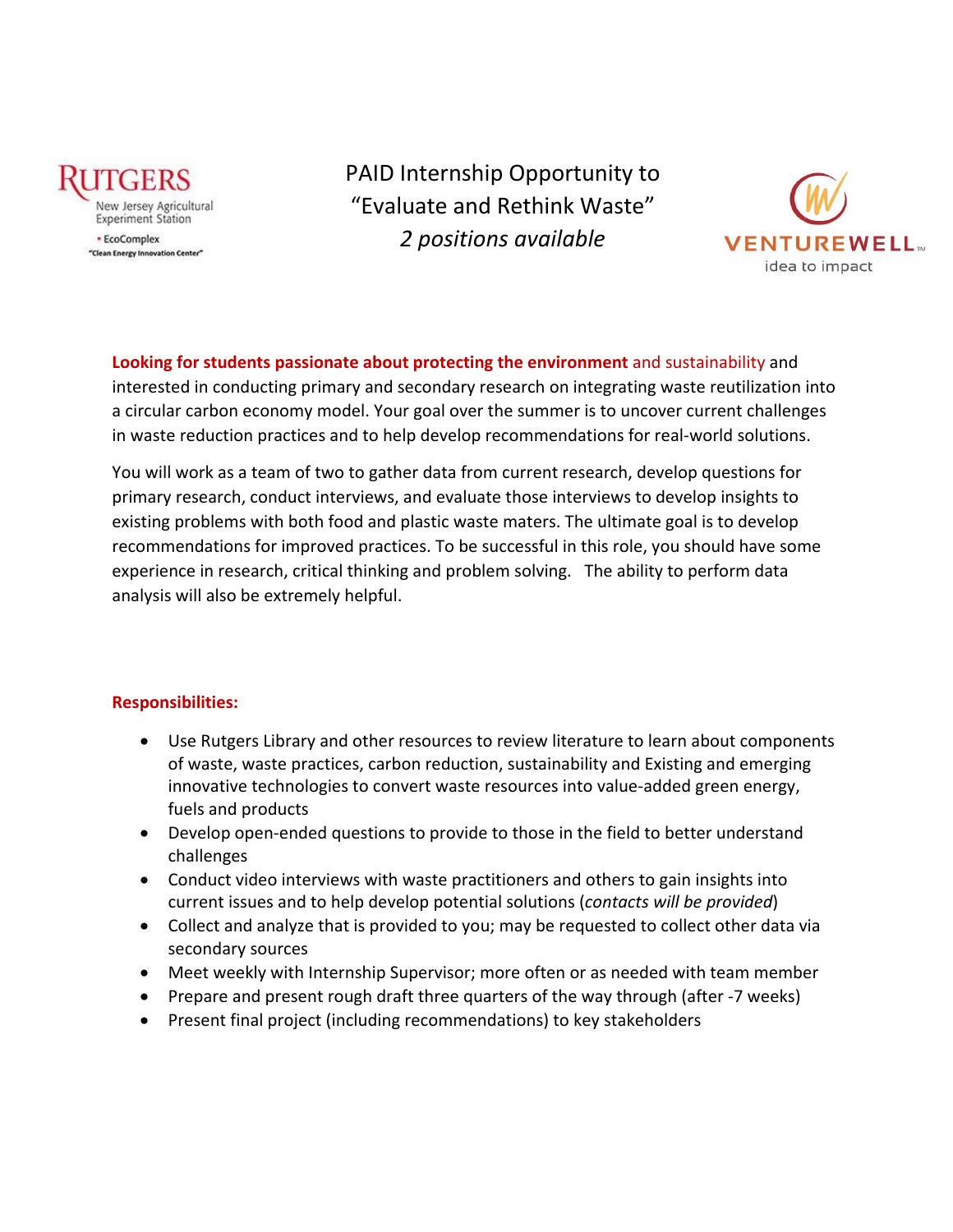

· EcoComplex "Clean Energy Innovation Center" PAID Internship Opportunity to "Evaluate and Rethink Waste" *2 positions available*



**Looking for students passionate about protecting the environment** and sustainability an[d](https://creativecommons.org/licenses/by-nc-nd/3.0/)  interested in conducting primary and secondary research on integrating waste reutilization into a circular carbon economy model. Your goal over the summer is to uncover current challenges in waste reduction practices and to help develop recommendations for real-world solutions.

You will work as a team of two to gather data from current research, develop questions for primary research, conduct interviews, and evaluate those interviews to develop insights to existing problems with both food and plastic waste maters. The ultimate goal is to develop recommendations for improved practices. To be successful in this role, you should have some experience in research, critical thinking and problem solving. The ability to perform data analysis will also be extremely helpful.

# **Responsibilities:**

- Use Rutgers Library and other resources to review literature to learn about components of waste, waste practices, carbon reduction, sustainability and Existing and emerging innovative technologies to convert waste resources into value-added green energy, fuels and products
- Develop open-ended questions to provide to those in the field to better understand challenges
- Conduct video interviews with waste practitioners and others to gain insights into current issues and to help develop potential solutions (*contacts will be provided*)
- Collect and analyze that is provided to you; may be requested to collect other data via secondary sources
- Meet weekly with Internship Supervisor; more often or as needed with team member
- Prepare and present rough draft three quarters of the way through (after -7 weeks)
- Present final project (including recommendations) to key stakeholders